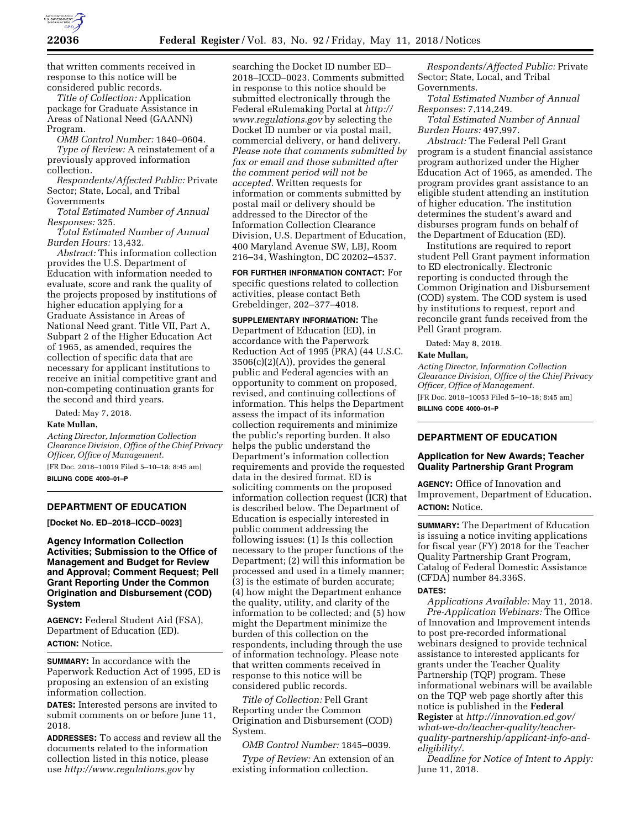

that written comments received in response to this notice will be considered public records.

*Title of Collection:* Application package for Graduate Assistance in Areas of National Need (GAANN) Program.

*OMB Control Number:* 1840–0604. *Type of Review:* A reinstatement of a previously approved information collection.

*Respondents/Affected Public:* Private Sector; State, Local, and Tribal Governments

*Total Estimated Number of Annual Responses:* 325.

*Total Estimated Number of Annual Burden Hours:* 13,432.

*Abstract:* This information collection provides the U.S. Department of Education with information needed to evaluate, score and rank the quality of the projects proposed by institutions of higher education applying for a Graduate Assistance in Areas of National Need grant. Title VII, Part A, Subpart 2 of the Higher Education Act of 1965, as amended, requires the collection of specific data that are necessary for applicant institutions to receive an initial competitive grant and non-competing continuation grants for the second and third years.

Dated: May 7, 2018.

### **Kate Mullan,**

*Acting Director, Information Collection Clearance Division, Office of the Chief Privacy Officer, Office of Management.*  [FR Doc. 2018–10019 Filed 5–10–18; 8:45 am] **BILLING CODE 4000–01–P** 

# **DEPARTMENT OF EDUCATION**

**[Docket No. ED–2018–ICCD–0023]** 

# **Agency Information Collection Activities; Submission to the Office of Management and Budget for Review and Approval; Comment Request; Pell Grant Reporting Under the Common Origination and Disbursement (COD) System**

**AGENCY:** Federal Student Aid (FSA), Department of Education (ED). **ACTION:** Notice.

**SUMMARY:** In accordance with the Paperwork Reduction Act of 1995, ED is proposing an extension of an existing information collection.

**DATES:** Interested persons are invited to submit comments on or before June 11, 2018.

**ADDRESSES:** To access and review all the documents related to the information collection listed in this notice, please use *<http://www.regulations.gov>*by

searching the Docket ID number ED– 2018–ICCD–0023. Comments submitted in response to this notice should be submitted electronically through the Federal eRulemaking Portal at *[http://](http://www.regulations.gov) [www.regulations.gov](http://www.regulations.gov)* by selecting the Docket ID number or via postal mail, commercial delivery, or hand delivery. *Please note that comments submitted by fax or email and those submitted after the comment period will not be accepted.* Written requests for information or comments submitted by postal mail or delivery should be addressed to the Director of the Information Collection Clearance Division, U.S. Department of Education, 400 Maryland Avenue SW, LBJ, Room 216–34, Washington, DC 20202–4537.

**FOR FURTHER INFORMATION CONTACT:** For specific questions related to collection activities, please contact Beth Grebeldinger, 202–377–4018.

**SUPPLEMENTARY INFORMATION:** The Department of Education (ED), in accordance with the Paperwork Reduction Act of 1995 (PRA) (44 U.S.C. 3506(c)(2)(A)), provides the general public and Federal agencies with an opportunity to comment on proposed, revised, and continuing collections of information. This helps the Department assess the impact of its information collection requirements and minimize the public's reporting burden. It also helps the public understand the Department's information collection requirements and provide the requested data in the desired format. ED is soliciting comments on the proposed information collection request (ICR) that is described below. The Department of Education is especially interested in public comment addressing the following issues: (1) Is this collection necessary to the proper functions of the Department; (2) will this information be processed and used in a timely manner; (3) is the estimate of burden accurate; (4) how might the Department enhance the quality, utility, and clarity of the information to be collected; and (5) how might the Department minimize the burden of this collection on the respondents, including through the use of information technology. Please note that written comments received in response to this notice will be considered public records.

*Title of Collection:* Pell Grant Reporting under the Common Origination and Disbursement (COD) System.

*OMB Control Number:* 1845–0039.

*Type of Review:* An extension of an existing information collection.

*Respondents/Affected Public:* Private Sector; State, Local, and Tribal Governments.

*Total Estimated Number of Annual Responses:* 7,114,249.

*Total Estimated Number of Annual Burden Hours:* 497,997.

*Abstract:* The Federal Pell Grant program is a student financial assistance program authorized under the Higher Education Act of 1965, as amended. The program provides grant assistance to an eligible student attending an institution of higher education. The institution determines the student's award and disburses program funds on behalf of the Department of Education (ED).

Institutions are required to report student Pell Grant payment information to ED electronically. Electronic reporting is conducted through the Common Origination and Disbursement (COD) system. The COD system is used by institutions to request, report and reconcile grant funds received from the Pell Grant program.

Dated: May 8, 2018.

### **Kate Mullan,**

*Acting Director, Information Collection Clearance Division, Office of the Chief Privacy Officer, Office of Management.* 

[FR Doc. 2018–10053 Filed 5–10–18; 8:45 am] **BILLING CODE 4000–01–P** 

# **DEPARTMENT OF EDUCATION**

### **Application for New Awards; Teacher Quality Partnership Grant Program**

**AGENCY:** Office of Innovation and Improvement, Department of Education. **ACTION:** Notice.

**SUMMARY:** The Department of Education is issuing a notice inviting applications for fiscal year (FY) 2018 for the Teacher Quality Partnership Grant Program, Catalog of Federal Domestic Assistance (CFDA) number 84.336S.

### **DATES:**

*Applications Available:* May 11, 2018. *Pre-Application Webinars:* The Office of Innovation and Improvement intends to post pre-recorded informational webinars designed to provide technical assistance to interested applicants for grants under the Teacher Quality Partnership (TQP) program. These informational webinars will be available on the TQP web page shortly after this notice is published in the **Federal Register** at *[http://innovation.ed.gov/](http://innovation.ed.gov/what-we-do/teacher-quality/teacher-quality-partnership/applicant-info-and-eligibility/)  [what-we-do/teacher-quality/teacher](http://innovation.ed.gov/what-we-do/teacher-quality/teacher-quality-partnership/applicant-info-and-eligibility/)[quality-partnership/applicant-info-and](http://innovation.ed.gov/what-we-do/teacher-quality/teacher-quality-partnership/applicant-info-and-eligibility/)[eligibility/](http://innovation.ed.gov/what-we-do/teacher-quality/teacher-quality-partnership/applicant-info-and-eligibility/)*.

*Deadline for Notice of Intent to Apply:*  June 11, 2018.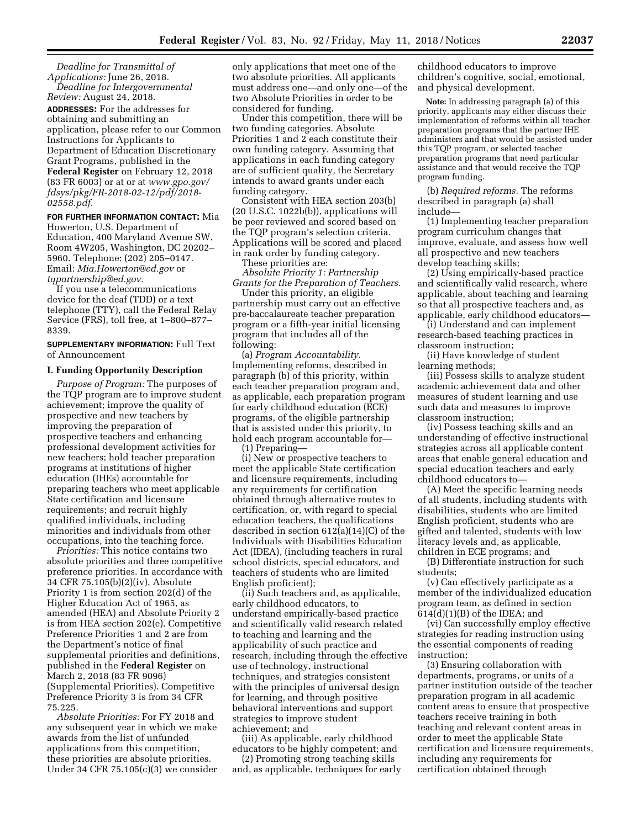*Deadline for Transmittal of Applications:* June 26, 2018. *Deadline for Intergovernmental Review:* August 24, 2018.

**ADDRESSES:** For the addresses for obtaining and submitting an application, please refer to our Common Instructions for Applicants to Department of Education Discretionary Grant Programs, published in the **Federal Register** on February 12, 2018 (83 FR 6003) or at or at *[www.gpo.gov/](http://www.gpo.gov/fdsys/pkg/FR-2018-02-12/pdf/2018-02558.pdf)  [fdsys/pkg/FR-2018-02-12/pdf/2018-](http://www.gpo.gov/fdsys/pkg/FR-2018-02-12/pdf/2018-02558.pdf)  [02558.pdf](http://www.gpo.gov/fdsys/pkg/FR-2018-02-12/pdf/2018-02558.pdf)*.

# **FOR FURTHER INFORMATION CONTACT:** Mia

Howerton, U.S. Department of Education, 400 Maryland Avenue SW, Room 4W205, Washington, DC 20202– 5960. Telephone: (202) 205–0147. Email: *[Mia.Howerton@ed.gov](mailto:Mia.Howerton@ed.gov)* or *[tqpartnership@ed.gov](mailto:tqpartnership@ed.gov)*.

If you use a telecommunications device for the deaf (TDD) or a text telephone (TTY), call the Federal Relay Service (FRS), toll free, at 1–800–877– 8339.

**SUPPLEMENTARY INFORMATION:** Full Text of Announcement

#### **I. Funding Opportunity Description**

*Purpose of Program:* The purposes of the TQP program are to improve student achievement; improve the quality of prospective and new teachers by improving the preparation of prospective teachers and enhancing professional development activities for new teachers; hold teacher preparation programs at institutions of higher education (IHEs) accountable for preparing teachers who meet applicable State certification and licensure requirements; and recruit highly qualified individuals, including minorities and individuals from other occupations, into the teaching force.

*Priorities:* This notice contains two absolute priorities and three competitive preference priorities. In accordance with 34 CFR 75.105(b)(2)(iv), Absolute Priority 1 is from section 202(d) of the Higher Education Act of 1965, as amended (HEA) and Absolute Priority 2 is from HEA section 202(e). Competitive Preference Priorities 1 and 2 are from the Department's notice of final supplemental priorities and definitions, published in the **Federal Register** on March 2, 2018 (83 FR 9096) (Supplemental Priorities). Competitive Preference Priority 3 is from 34 CFR 75.225.

*Absolute Priorities:* For FY 2018 and any subsequent year in which we make awards from the list of unfunded applications from this competition, these priorities are absolute priorities. Under 34 CFR 75.105(c)(3) we consider

only applications that meet one of the two absolute priorities. All applicants must address one—and only one—of the two Absolute Priorities in order to be considered for funding.

Under this competition, there will be two funding categories. Absolute Priorities 1 and 2 each constitute their own funding category. Assuming that applications in each funding category are of sufficient quality, the Secretary intends to award grants under each funding category.

Consistent with HEA section 203(b) (20 U.S.C. 1022b(b)), applications will be peer reviewed and scored based on the TQP program's selection criteria. Applications will be scored and placed in rank order by funding category.

These priorities are:

*Absolute Priority 1: Partnership Grants for the Preparation of Teachers.* 

Under this priority, an eligible partnership must carry out an effective pre-baccalaureate teacher preparation program or a fifth-year initial licensing program that includes all of the following:

(a) *Program Accountability.*  Implementing reforms, described in paragraph (b) of this priority, within each teacher preparation program and, as applicable, each preparation program for early childhood education (ECE) programs, of the eligible partnership that is assisted under this priority, to hold each program accountable for— (1) Preparing—

(i) New or prospective teachers to meet the applicable State certification and licensure requirements, including any requirements for certification obtained through alternative routes to certification, or, with regard to special education teachers, the qualifications described in section 612(a)(14)(C) of the Individuals with Disabilities Education Act (IDEA), (including teachers in rural school districts, special educators, and teachers of students who are limited English proficient);

(ii) Such teachers and, as applicable, early childhood educators, to understand empirically-based practice and scientifically valid research related to teaching and learning and the applicability of such practice and research, including through the effective use of technology, instructional techniques, and strategies consistent with the principles of universal design for learning, and through positive behavioral interventions and support strategies to improve student achievement; and

(iii) As applicable, early childhood educators to be highly competent; and

(2) Promoting strong teaching skills and, as applicable, techniques for early

childhood educators to improve children's cognitive, social, emotional, and physical development.

**Note:** In addressing paragraph (a) of this priority, applicants may either discuss their implementation of reforms within all teacher preparation programs that the partner IHE administers and that would be assisted under this TQP program, or selected teacher preparation programs that need particular assistance and that would receive the TQP program funding.

(b) *Required reforms.* The reforms described in paragraph (a) shall include—

(1) Implementing teacher preparation program curriculum changes that improve, evaluate, and assess how well all prospective and new teachers develop teaching skills;

(2) Using empirically-based practice and scientifically valid research, where applicable, about teaching and learning so that all prospective teachers and, as applicable, early childhood educators—

(i) Understand and can implement research-based teaching practices in classroom instruction;

(ii) Have knowledge of student learning methods;

(iii) Possess skills to analyze student academic achievement data and other measures of student learning and use such data and measures to improve classroom instruction;

(iv) Possess teaching skills and an understanding of effective instructional strategies across all applicable content areas that enable general education and special education teachers and early childhood educators to—

(A) Meet the specific learning needs of all students, including students with disabilities, students who are limited English proficient, students who are gifted and talented, students with low literacy levels and, as applicable, children in ECE programs; and

(B) Differentiate instruction for such students;

(v) Can effectively participate as a member of the individualized education program team, as defined in section  $614(d)(1)(B)$  of the IDEA; and

(vi) Can successfully employ effective strategies for reading instruction using the essential components of reading instruction;

(3) Ensuring collaboration with departments, programs, or units of a partner institution outside of the teacher preparation program in all academic content areas to ensure that prospective teachers receive training in both teaching and relevant content areas in order to meet the applicable State certification and licensure requirements, including any requirements for certification obtained through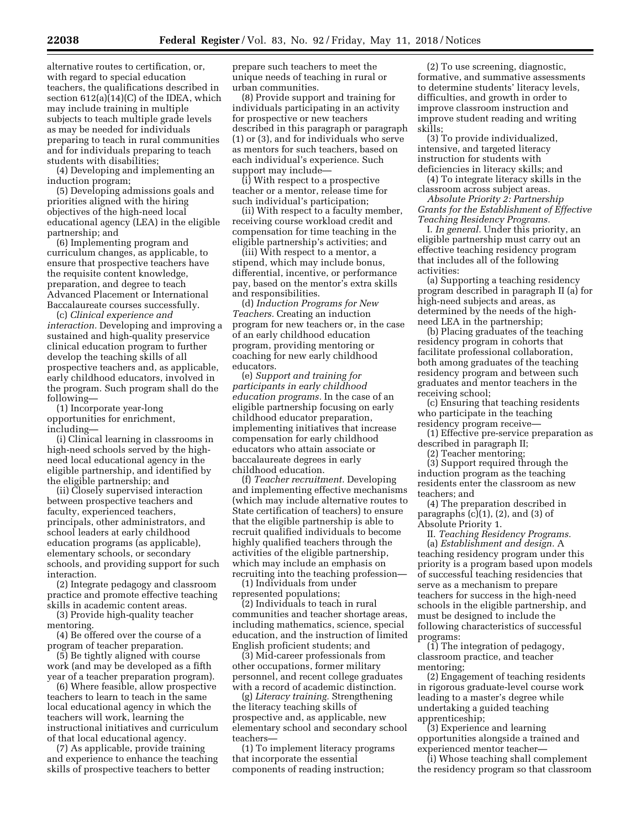alternative routes to certification, or, with regard to special education teachers, the qualifications described in section 612(a)(14)(C) of the IDEA, which may include training in multiple subjects to teach multiple grade levels as may be needed for individuals preparing to teach in rural communities and for individuals preparing to teach students with disabilities;

(4) Developing and implementing an induction program;

(5) Developing admissions goals and priorities aligned with the hiring objectives of the high-need local educational agency (LEA) in the eligible partnership; and

(6) Implementing program and curriculum changes, as applicable, to ensure that prospective teachers have the requisite content knowledge, preparation, and degree to teach Advanced Placement or International Baccalaureate courses successfully.

(c) *Clinical experience and interaction.* Developing and improving a sustained and high-quality preservice clinical education program to further develop the teaching skills of all prospective teachers and, as applicable, early childhood educators, involved in the program. Such program shall do the following—

(1) Incorporate year-long opportunities for enrichment, including—

(i) Clinical learning in classrooms in high-need schools served by the highneed local educational agency in the eligible partnership, and identified by the eligible partnership; and

(ii) Closely supervised interaction between prospective teachers and faculty, experienced teachers, principals, other administrators, and school leaders at early childhood education programs (as applicable), elementary schools, or secondary schools, and providing support for such interaction.

(2) Integrate pedagogy and classroom practice and promote effective teaching skills in academic content areas.

(3) Provide high-quality teacher mentoring.

(4) Be offered over the course of a program of teacher preparation.

(5) Be tightly aligned with course work (and may be developed as a fifth year of a teacher preparation program).

(6) Where feasible, allow prospective teachers to learn to teach in the same local educational agency in which the teachers will work, learning the instructional initiatives and curriculum of that local educational agency.

(7) As applicable, provide training and experience to enhance the teaching skills of prospective teachers to better

prepare such teachers to meet the unique needs of teaching in rural or urban communities.

(8) Provide support and training for individuals participating in an activity for prospective or new teachers described in this paragraph or paragraph (1) or (3), and for individuals who serve as mentors for such teachers, based on each individual's experience. Such support may include—

(i) With respect to a prospective teacher or a mentor, release time for such individual's participation;

(ii) With respect to a faculty member, receiving course workload credit and compensation for time teaching in the eligible partnership's activities; and

(iii) With respect to a mentor, a stipend, which may include bonus, differential, incentive, or performance pay, based on the mentor's extra skills and responsibilities.

(d) *Induction Programs for New Teachers.* Creating an induction program for new teachers or, in the case of an early childhood education program, providing mentoring or coaching for new early childhood educators.

(e) *Support and training for participants in early childhood education programs.* In the case of an eligible partnership focusing on early childhood educator preparation, implementing initiatives that increase compensation for early childhood educators who attain associate or baccalaureate degrees in early childhood education.

(f) *Teacher recruitment.* Developing and implementing effective mechanisms (which may include alternative routes to State certification of teachers) to ensure that the eligible partnership is able to recruit qualified individuals to become highly qualified teachers through the activities of the eligible partnership, which may include an emphasis on recruiting into the teaching profession—

(1) Individuals from under represented populations;

(2) Individuals to teach in rural communities and teacher shortage areas, including mathematics, science, special education, and the instruction of limited English proficient students; and

(3) Mid-career professionals from other occupations, former military personnel, and recent college graduates with a record of academic distinction.

(g) *Literacy training.* Strengthening the literacy teaching skills of prospective and, as applicable, new elementary school and secondary school teachers—

(1) To implement literacy programs that incorporate the essential components of reading instruction;

(2) To use screening, diagnostic, formative, and summative assessments to determine students' literacy levels, difficulties, and growth in order to improve classroom instruction and improve student reading and writing skills;

(3) To provide individualized, intensive, and targeted literacy instruction for students with deficiencies in literacy skills; and

(4) To integrate literacy skills in the classroom across subject areas.

*Absolute Priority 2: Partnership Grants for the Establishment of Effective Teaching Residency Programs.* 

I. *In general.* Under this priority, an eligible partnership must carry out an effective teaching residency program that includes all of the following activities:

(a) Supporting a teaching residency program described in paragraph II (a) for high-need subjects and areas, as determined by the needs of the highneed LEA in the partnership;

(b) Placing graduates of the teaching residency program in cohorts that facilitate professional collaboration, both among graduates of the teaching residency program and between such graduates and mentor teachers in the receiving school;

(c) Ensuring that teaching residents who participate in the teaching residency program receive—

(1) Effective pre-service preparation as described in paragraph II;

(2) Teacher mentoring;

(3) Support required through the induction program as the teaching residents enter the classroom as new teachers; and

(4) The preparation described in paragraphs (c)(1), (2), and (3) of Absolute Priority 1.

II. *Teaching Residency Programs.*  (a) *Establishment and design.* A teaching residency program under this priority is a program based upon models of successful teaching residencies that serve as a mechanism to prepare teachers for success in the high-need schools in the eligible partnership, and must be designed to include the following characteristics of successful programs:

(1) The integration of pedagogy, classroom practice, and teacher mentoring;

(2) Engagement of teaching residents in rigorous graduate-level course work leading to a master's degree while undertaking a guided teaching apprenticeship;

(3) Experience and learning opportunities alongside a trained and experienced mentor teacher—

(i) Whose teaching shall complement the residency program so that classroom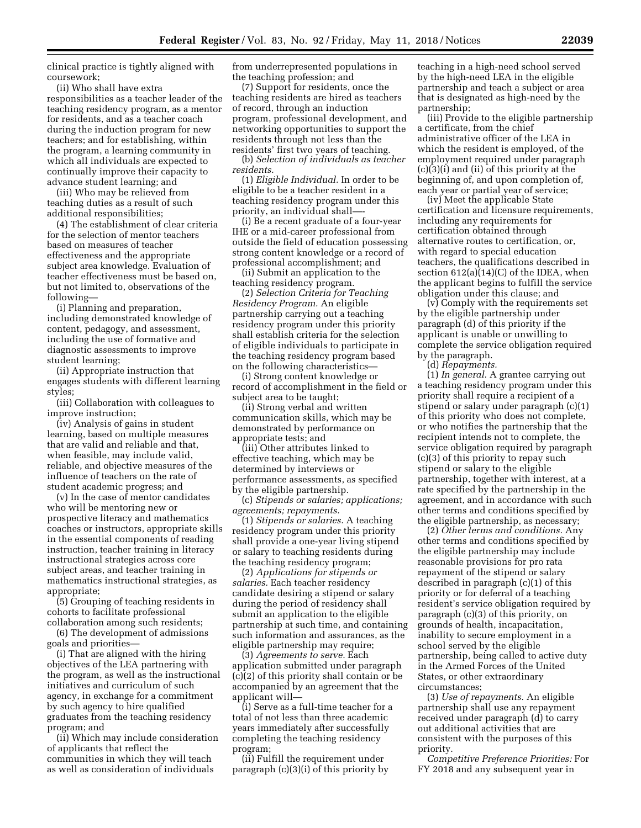clinical practice is tightly aligned with coursework;

(ii) Who shall have extra responsibilities as a teacher leader of the teaching residency program, as a mentor for residents, and as a teacher coach during the induction program for new teachers; and for establishing, within the program, a learning community in which all individuals are expected to continually improve their capacity to advance student learning; and

(iii) Who may be relieved from teaching duties as a result of such additional responsibilities;

(4) The establishment of clear criteria for the selection of mentor teachers based on measures of teacher effectiveness and the appropriate subject area knowledge. Evaluation of teacher effectiveness must be based on, but not limited to, observations of the following—

(i) Planning and preparation, including demonstrated knowledge of content, pedagogy, and assessment, including the use of formative and diagnostic assessments to improve student learning;

(ii) Appropriate instruction that engages students with different learning styles;

(iii) Collaboration with colleagues to improve instruction;

(iv) Analysis of gains in student learning, based on multiple measures that are valid and reliable and that, when feasible, may include valid, reliable, and objective measures of the influence of teachers on the rate of student academic progress; and

(v) In the case of mentor candidates who will be mentoring new or prospective literacy and mathematics coaches or instructors, appropriate skills in the essential components of reading instruction, teacher training in literacy instructional strategies across core subject areas, and teacher training in mathematics instructional strategies, as appropriate;

(5) Grouping of teaching residents in cohorts to facilitate professional collaboration among such residents;

(6) The development of admissions goals and priorities—

(i) That are aligned with the hiring objectives of the LEA partnering with the program, as well as the instructional initiatives and curriculum of such agency, in exchange for a commitment by such agency to hire qualified graduates from the teaching residency program; and

(ii) Which may include consideration of applicants that reflect the communities in which they will teach as well as consideration of individuals

from underrepresented populations in the teaching profession; and

(7) Support for residents, once the teaching residents are hired as teachers of record, through an induction program, professional development, and networking opportunities to support the residents through not less than the residents' first two years of teaching.

(b) *Selection of individuals as teacher residents.* 

(1) *Eligible Individual.* In order to be eligible to be a teacher resident in a teaching residency program under this priority, an individual shall—-

(i) Be a recent graduate of a four-year IHE or a mid-career professional from outside the field of education possessing strong content knowledge or a record of professional accomplishment; and

(ii) Submit an application to the teaching residency program.

(2) *Selection Criteria for Teaching Residency Program.* An eligible partnership carrying out a teaching residency program under this priority shall establish criteria for the selection of eligible individuals to participate in the teaching residency program based on the following characteristics—

(i) Strong content knowledge or record of accomplishment in the field or subject area to be taught;

(ii) Strong verbal and written communication skills, which may be demonstrated by performance on appropriate tests; and

(iii) Other attributes linked to effective teaching, which may be determined by interviews or performance assessments, as specified by the eligible partnership.

(c) *Stipends or salaries; applications; agreements; repayments.* 

(1) *Stipends or salaries.* A teaching residency program under this priority shall provide a one-year living stipend or salary to teaching residents during the teaching residency program;

(2) *Applications for stipends or salaries.* Each teacher residency candidate desiring a stipend or salary during the period of residency shall submit an application to the eligible partnership at such time, and containing such information and assurances, as the eligible partnership may require;

(3) *Agreements to serve.* Each application submitted under paragraph (c)(2) of this priority shall contain or be accompanied by an agreement that the applicant will—

(i) Serve as a full-time teacher for a total of not less than three academic years immediately after successfully completing the teaching residency program;

(ii) Fulfill the requirement under paragraph (c)(3)(i) of this priority by

teaching in a high-need school served by the high-need LEA in the eligible partnership and teach a subject or area that is designated as high-need by the partnership;

(iii) Provide to the eligible partnership a certificate, from the chief administrative officer of the LEA in which the resident is employed, of the employment required under paragraph (c)(3)(i) and (ii) of this priority at the beginning of, and upon completion of, each year or partial year of service;

(iv) Meet the applicable State certification and licensure requirements, including any requirements for certification obtained through alternative routes to certification, or, with regard to special education teachers, the qualifications described in section  $612(a)(14)(C)$  of the IDEA, when the applicant begins to fulfill the service obligation under this clause; and

(v) Comply with the requirements set by the eligible partnership under paragraph (d) of this priority if the applicant is unable or unwilling to complete the service obligation required by the paragraph.

(d) *Repayments.* 

(1) *In general.* A grantee carrying out a teaching residency program under this priority shall require a recipient of a stipend or salary under paragraph (c)(1) of this priority who does not complete, or who notifies the partnership that the recipient intends not to complete, the service obligation required by paragraph (c)(3) of this priority to repay such stipend or salary to the eligible partnership, together with interest, at a rate specified by the partnership in the agreement, and in accordance with such other terms and conditions specified by the eligible partnership, as necessary;

(2) *Other terms and conditions.* Any other terms and conditions specified by the eligible partnership may include reasonable provisions for pro rata repayment of the stipend or salary described in paragraph (c)(1) of this priority or for deferral of a teaching resident's service obligation required by paragraph (c)(3) of this priority, on grounds of health, incapacitation, inability to secure employment in a school served by the eligible partnership, being called to active duty in the Armed Forces of the United States, or other extraordinary circumstances;

(3) *Use of repayments.* An eligible partnership shall use any repayment received under paragraph (d) to carry out additional activities that are consistent with the purposes of this priority.

*Competitive Preference Priorities:* For FY 2018 and any subsequent year in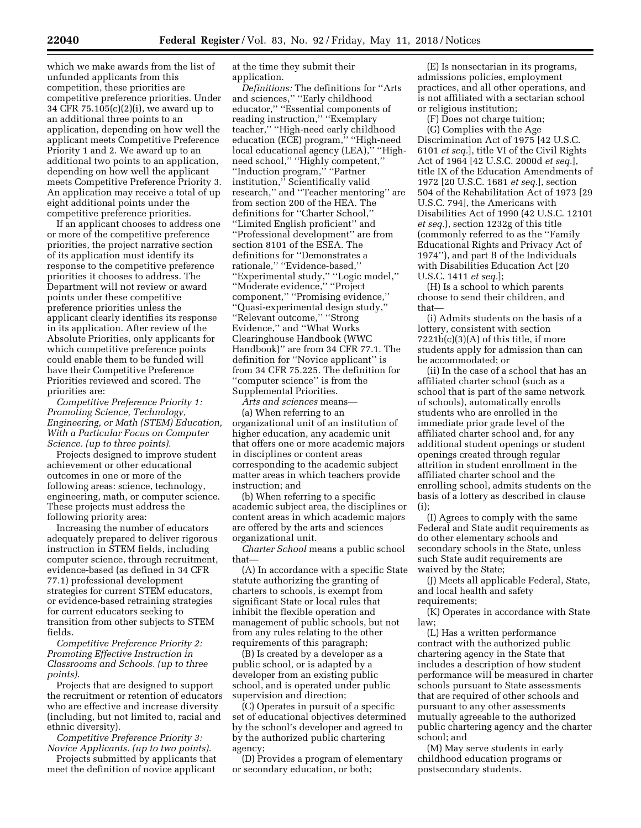which we make awards from the list of unfunded applicants from this competition, these priorities are competitive preference priorities. Under 34 CFR 75.105(c)(2)(i), we award up to an additional three points to an application, depending on how well the applicant meets Competitive Preference Priority 1 and 2. We award up to an additional two points to an application, depending on how well the applicant meets Competitive Preference Priority 3. An application may receive a total of up eight additional points under the competitive preference priorities.

If an applicant chooses to address one or more of the competitive preference priorities, the project narrative section of its application must identify its response to the competitive preference priorities it chooses to address. The Department will not review or award points under these competitive preference priorities unless the applicant clearly identifies its response in its application. After review of the Absolute Priorities, only applicants for which competitive preference points could enable them to be funded will have their Competitive Preference Priorities reviewed and scored. The priorities are:

*Competitive Preference Priority 1: Promoting Science, Technology, Engineering, or Math (STEM) Education, With a Particular Focus on Computer Science. (up to three points).* 

Projects designed to improve student achievement or other educational outcomes in one or more of the following areas: science, technology, engineering, math, or computer science. These projects must address the following priority area:

Increasing the number of educators adequately prepared to deliver rigorous instruction in STEM fields, including computer science, through recruitment, evidence-based (as defined in 34 CFR 77.1) professional development strategies for current STEM educators, or evidence-based retraining strategies for current educators seeking to transition from other subjects to STEM fields.

*Competitive Preference Priority 2: Promoting Effective Instruction in Classrooms and Schools. (up to three points)*.

Projects that are designed to support the recruitment or retention of educators who are effective and increase diversity (including, but not limited to, racial and ethnic diversity).

*Competitive Preference Priority 3: Novice Applicants. (up to two points)*.

Projects submitted by applicants that meet the definition of novice applicant at the time they submit their application.

*Definitions:* The definitions for ''Arts and sciences,'' ''Early childhood educator," "Essential components of reading instruction,'' ''Exemplary teacher,'' ''High-need early childhood education (ECE) program,'' ''High-need local educational agency (LEA)," "Highneed school,'' ''Highly competent,'' ''Induction program,'' ''Partner institution,'' Scientifically valid research,'' and ''Teacher mentoring'' are from section 200 of the HEA. The definitions for ''Charter School,'' ''Limited English proficient'' and ''Professional development'' are from section 8101 of the ESEA. The definitions for ''Demonstrates a rationale,'' ''Evidence-based,'' ''Experimental study,'' ''Logic model,'' ''Moderate evidence,'' ''Project component,'' ''Promising evidence,'' ''Quasi-experimental design study,'' ''Relevant outcome,'' ''Strong Evidence,'' and ''What Works Clearinghouse Handbook (WWC Handbook)'' are from 34 CFR 77.1. The definition for ''Novice applicant'' is from 34 CFR 75.225. The definition for ''computer science'' is from the Supplemental Priorities.

*Arts and sciences* means— (a) When referring to an organizational unit of an institution of higher education, any academic unit that offers one or more academic majors in disciplines or content areas corresponding to the academic subject matter areas in which teachers provide instruction; and

(b) When referring to a specific academic subject area, the disciplines or content areas in which academic majors are offered by the arts and sciences organizational unit.

*Charter School* means a public school that—

(A) In accordance with a specific State statute authorizing the granting of charters to schools, is exempt from significant State or local rules that inhibit the flexible operation and management of public schools, but not from any rules relating to the other requirements of this paragraph;

(B) Is created by a developer as a public school, or is adapted by a developer from an existing public school, and is operated under public supervision and direction;

(C) Operates in pursuit of a specific set of educational objectives determined by the school's developer and agreed to by the authorized public chartering agency;

(D) Provides a program of elementary or secondary education, or both;

(E) Is nonsectarian in its programs, admissions policies, employment practices, and all other operations, and is not affiliated with a sectarian school or religious institution;

(F) Does not charge tuition;

(G) Complies with the Age Discrimination Act of 1975 [42 U.S.C. 6101 *et seq.*], title VI of the Civil Rights Act of 1964 [42 U.S.C. 2000d *et seq.*], title IX of the Education Amendments of 1972 [20 U.S.C. 1681 *et seq.*], section 504 of the Rehabilitation Act of 1973 [29 U.S.C. 794], the Americans with Disabilities Act of 1990 (42 U.S.C. 12101 *et seq.*), section 1232g of this title (commonly referred to as the ''Family Educational Rights and Privacy Act of 1974''), and part B of the Individuals with Disabilities Education Act [20 U.S.C. 1411 *et seq.*];

(H) Is a school to which parents choose to send their children, and that—

(i) Admits students on the basis of a lottery, consistent with section  $7221b(c)(3)(A)$  of this title, if more students apply for admission than can be accommodated; or

(ii) In the case of a school that has an affiliated charter school (such as a school that is part of the same network of schools), automatically enrolls students who are enrolled in the immediate prior grade level of the affiliated charter school and, for any additional student openings or student openings created through regular attrition in student enrollment in the affiliated charter school and the enrolling school, admits students on the basis of a lottery as described in clause (i);

(I) Agrees to comply with the same Federal and State audit requirements as do other elementary schools and secondary schools in the State, unless such State audit requirements are waived by the State;

(J) Meets all applicable Federal, State, and local health and safety requirements;

(K) Operates in accordance with State law;

(L) Has a written performance contract with the authorized public chartering agency in the State that includes a description of how student performance will be measured in charter schools pursuant to State assessments that are required of other schools and pursuant to any other assessments mutually agreeable to the authorized public chartering agency and the charter school; and

(M) May serve students in early childhood education programs or postsecondary students.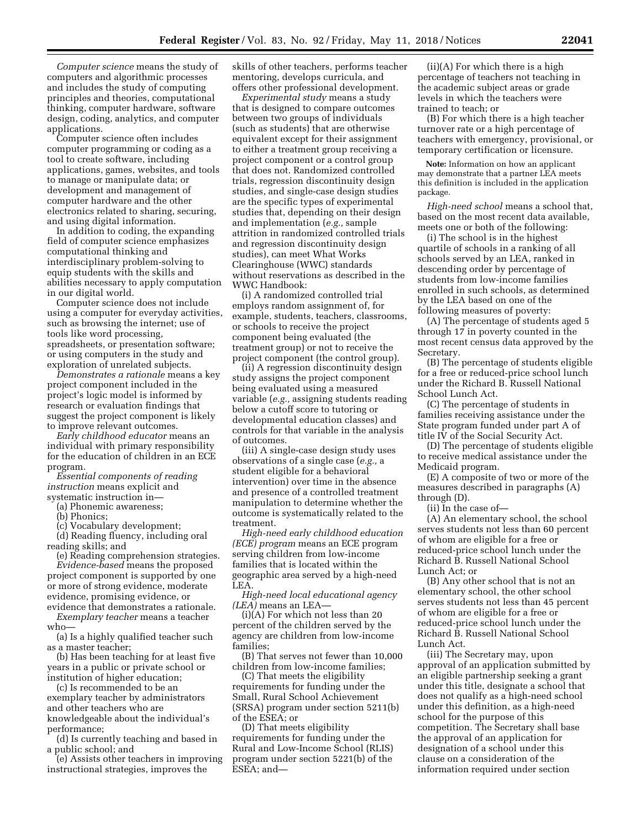*Computer science* means the study of computers and algorithmic processes and includes the study of computing principles and theories, computational thinking, computer hardware, software design, coding, analytics, and computer applications.

Computer science often includes computer programming or coding as a tool to create software, including applications, games, websites, and tools to manage or manipulate data; or development and management of computer hardware and the other electronics related to sharing, securing, and using digital information.

In addition to coding, the expanding field of computer science emphasizes computational thinking and interdisciplinary problem-solving to equip students with the skills and abilities necessary to apply computation in our digital world.

Computer science does not include using a computer for everyday activities, such as browsing the internet; use of tools like word processing, spreadsheets, or presentation software; or using computers in the study and exploration of unrelated subjects.

*Demonstrates a rationale* means a key project component included in the project's logic model is informed by research or evaluation findings that suggest the project component is likely to improve relevant outcomes.

*Early childhood educator* means an individual with primary responsibility for the education of children in an ECE program.

*Essential components of reading instruction* means explicit and systematic instruction in—

(a) Phonemic awareness;

(b) Phonics;

(c) Vocabulary development;

(d) Reading fluency, including oral reading skills; and

(e) Reading comprehension strategies.

*Evidence-based* means the proposed project component is supported by one or more of strong evidence, moderate evidence, promising evidence, or evidence that demonstrates a rationale.

*Exemplary teacher* means a teacher who—

(a) Is a highly qualified teacher such as a master teacher;

(b) Has been teaching for at least five years in a public or private school or institution of higher education;

(c) Is recommended to be an exemplary teacher by administrators and other teachers who are knowledgeable about the individual's performance;

(d) Is currently teaching and based in a public school; and

(e) Assists other teachers in improving instructional strategies, improves the

skills of other teachers, performs teacher mentoring, develops curricula, and offers other professional development.

*Experimental study* means a study that is designed to compare outcomes between two groups of individuals (such as students) that are otherwise equivalent except for their assignment to either a treatment group receiving a project component or a control group that does not. Randomized controlled trials, regression discontinuity design studies, and single-case design studies are the specific types of experimental studies that, depending on their design and implementation (*e.g.,* sample attrition in randomized controlled trials and regression discontinuity design studies), can meet What Works Clearinghouse (WWC) standards without reservations as described in the WWC Handbook:

(i) A randomized controlled trial employs random assignment of, for example, students, teachers, classrooms, or schools to receive the project component being evaluated (the treatment group) or not to receive the project component (the control group).

(ii) A regression discontinuity design study assigns the project component being evaluated using a measured variable (*e.g.,* assigning students reading below a cutoff score to tutoring or developmental education classes) and controls for that variable in the analysis of outcomes.

(iii) A single-case design study uses observations of a single case (*e.g.,* a student eligible for a behavioral intervention) over time in the absence and presence of a controlled treatment manipulation to determine whether the outcome is systematically related to the treatment.

*High-need early childhood education (ECE) program* means an ECE program serving children from low-income families that is located within the geographic area served by a high-need LEA.

*High-need local educational agency (LEA)* means an LEA—

(i)(A) For which not less than 20 percent of the children served by the agency are children from low-income families;

(B) That serves not fewer than 10,000 children from low-income families;

(C) That meets the eligibility requirements for funding under the Small, Rural School Achievement (SRSA) program under section 5211(b) of the ESEA; or

(D) That meets eligibility requirements for funding under the Rural and Low-Income School (RLIS) program under section 5221(b) of the ESEA; and—

(ii)(A) For which there is a high percentage of teachers not teaching in the academic subject areas or grade levels in which the teachers were trained to teach; or

(B) For which there is a high teacher turnover rate or a high percentage of teachers with emergency, provisional, or temporary certification or licensure.

**Note:** Information on how an applicant may demonstrate that a partner LEA meets this definition is included in the application package.

*High-need school* means a school that, based on the most recent data available, meets one or both of the following:

(i) The school is in the highest quartile of schools in a ranking of all schools served by an LEA, ranked in descending order by percentage of students from low-income families enrolled in such schools, as determined by the LEA based on one of the following measures of poverty:

(A) The percentage of students aged 5 through 17 in poverty counted in the most recent census data approved by the Secretary.

(B) The percentage of students eligible for a free or reduced-price school lunch under the Richard B. Russell National School Lunch Act.

(C) The percentage of students in families receiving assistance under the State program funded under part A of title IV of the Social Security Act.

(D) The percentage of students eligible to receive medical assistance under the Medicaid program.

(E) A composite of two or more of the measures described in paragraphs (A) through (D).

(ii) In the case of-

(A) An elementary school, the school serves students not less than 60 percent of whom are eligible for a free or reduced-price school lunch under the Richard B. Russell National School Lunch Act; or

(B) Any other school that is not an elementary school, the other school serves students not less than 45 percent of whom are eligible for a free or reduced-price school lunch under the Richard B. Russell National School Lunch Act.

(iii) The Secretary may, upon approval of an application submitted by an eligible partnership seeking a grant under this title, designate a school that does not qualify as a high-need school under this definition, as a high-need school for the purpose of this competition. The Secretary shall base the approval of an application for designation of a school under this clause on a consideration of the information required under section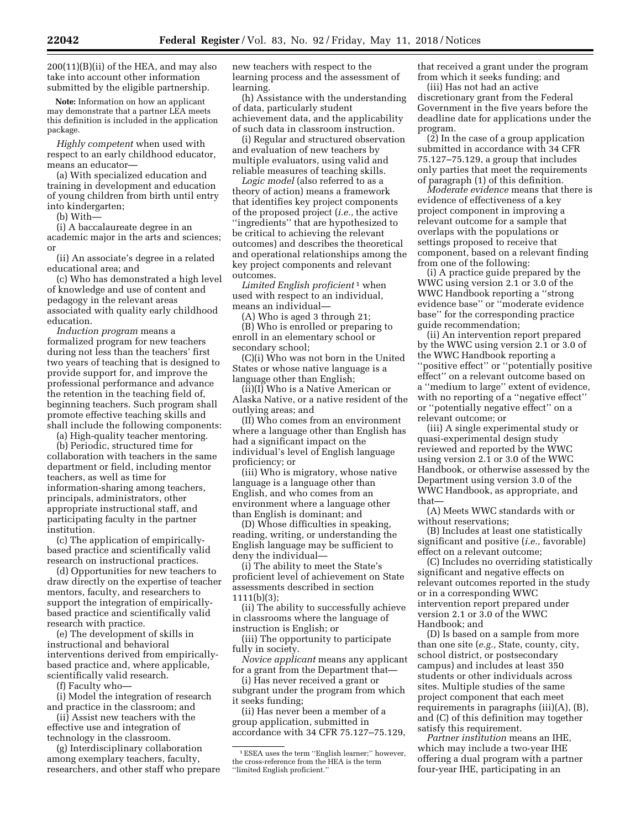200(11)(B)(ii) of the HEA, and may also take into account other information submitted by the eligible partnership.

**Note:** Information on how an applicant may demonstrate that a partner LEA meets this definition is included in the application package.

*Highly competent* when used with respect to an early childhood educator, means an educator—

(a) With specialized education and training in development and education of young children from birth until entry into kindergarten;

(b) With—

(i) A baccalaureate degree in an academic major in the arts and sciences; or

(ii) An associate's degree in a related educational area; and

(c) Who has demonstrated a high level of knowledge and use of content and pedagogy in the relevant areas associated with quality early childhood education.

*Induction program* means a formalized program for new teachers during not less than the teachers' first two years of teaching that is designed to provide support for, and improve the professional performance and advance the retention in the teaching field of, beginning teachers. Such program shall promote effective teaching skills and shall include the following components:

(a) High-quality teacher mentoring.

(b) Periodic, structured time for collaboration with teachers in the same department or field, including mentor teachers, as well as time for information-sharing among teachers, principals, administrators, other appropriate instructional staff, and participating faculty in the partner institution.

(c) The application of empiricallybased practice and scientifically valid research on instructional practices.

(d) Opportunities for new teachers to draw directly on the expertise of teacher mentors, faculty, and researchers to support the integration of empiricallybased practice and scientifically valid research with practice.

(e) The development of skills in instructional and behavioral interventions derived from empiricallybased practice and, where applicable, scientifically valid research.

(f) Faculty who—

(i) Model the integration of research and practice in the classroom; and

(ii) Assist new teachers with the effective use and integration of technology in the classroom.

(g) Interdisciplinary collaboration among exemplary teachers, faculty, researchers, and other staff who prepare new teachers with respect to the learning process and the assessment of learning.

(h) Assistance with the understanding of data, particularly student achievement data, and the applicability of such data in classroom instruction.

(i) Regular and structured observation and evaluation of new teachers by multiple evaluators, using valid and reliable measures of teaching skills.

*Logic model* (also referred to as a theory of action) means a framework that identifies key project components of the proposed project (*i.e.,* the active ''ingredients'' that are hypothesized to be critical to achieving the relevant outcomes) and describes the theoretical and operational relationships among the key project components and relevant outcomes.

*Limited English proficient* 1 when used with respect to an individual, means an individual—

(A) Who is aged 3 through 21;

(B) Who is enrolled or preparing to enroll in an elementary school or secondary school;

(C)(i) Who was not born in the United States or whose native language is a language other than English;

(ii)(I) Who is a Native American or Alaska Native, or a native resident of the outlying areas; and

(II) Who comes from an environment where a language other than English has had a significant impact on the individual's level of English language proficiency; or

(iii) Who is migratory, whose native language is a language other than English, and who comes from an environment where a language other than English is dominant; and

(D) Whose difficulties in speaking, reading, writing, or understanding the English language may be sufficient to deny the individual—

(i) The ability to meet the State's proficient level of achievement on State assessments described in section 1111(b)(3);

(ii) The ability to successfully achieve in classrooms where the language of instruction is English; or

(iii) The opportunity to participate fully in society.

*Novice applicant* means any applicant for a grant from the Department that—

(i) Has never received a grant or subgrant under the program from which it seeks funding;

(ii) Has never been a member of a group application, submitted in accordance with 34 CFR 75.127–75.129, that received a grant under the program from which it seeks funding; and

(iii) Has not had an active discretionary grant from the Federal Government in the five years before the deadline date for applications under the program.

(2) In the case of a group application submitted in accordance with 34 CFR 75.127–75.129, a group that includes only parties that meet the requirements of paragraph (1) of this definition.

*Moderate evidence* means that there is evidence of effectiveness of a key project component in improving a relevant outcome for a sample that overlaps with the populations or settings proposed to receive that component, based on a relevant finding from one of the following:

(i) A practice guide prepared by the WWC using version 2.1 or 3.0 of the WWC Handbook reporting a ''strong evidence base'' or ''moderate evidence base'' for the corresponding practice guide recommendation;

(ii) An intervention report prepared by the WWC using version 2.1 or 3.0 of the WWC Handbook reporting a ''positive effect'' or ''potentially positive effect'' on a relevant outcome based on a ''medium to large'' extent of evidence, with no reporting of a "negative effect" or ''potentially negative effect'' on a relevant outcome; or

(iii) A single experimental study or quasi-experimental design study reviewed and reported by the WWC using version 2.1 or 3.0 of the WWC Handbook, or otherwise assessed by the Department using version 3.0 of the WWC Handbook, as appropriate, and that—

(A) Meets WWC standards with or without reservations;

(B) Includes at least one statistically significant and positive (*i.e.,* favorable) effect on a relevant outcome;

(C) Includes no overriding statistically significant and negative effects on relevant outcomes reported in the study or in a corresponding WWC intervention report prepared under version 2.1 or 3.0 of the WWC Handbook; and

(D) Is based on a sample from more than one site (*e.g.,* State, county, city, school district, or postsecondary campus) and includes at least 350 students or other individuals across sites. Multiple studies of the same project component that each meet requirements in paragraphs (iii)(A), (B), and (C) of this definition may together satisfy this requirement.

*Partner institution* means an IHE, which may include a two-year IHE offering a dual program with a partner four-year IHE, participating in an

<sup>1</sup>ESEA uses the term ''English learner;'' however, the cross-reference from the HEA is the term ''limited English proficient.''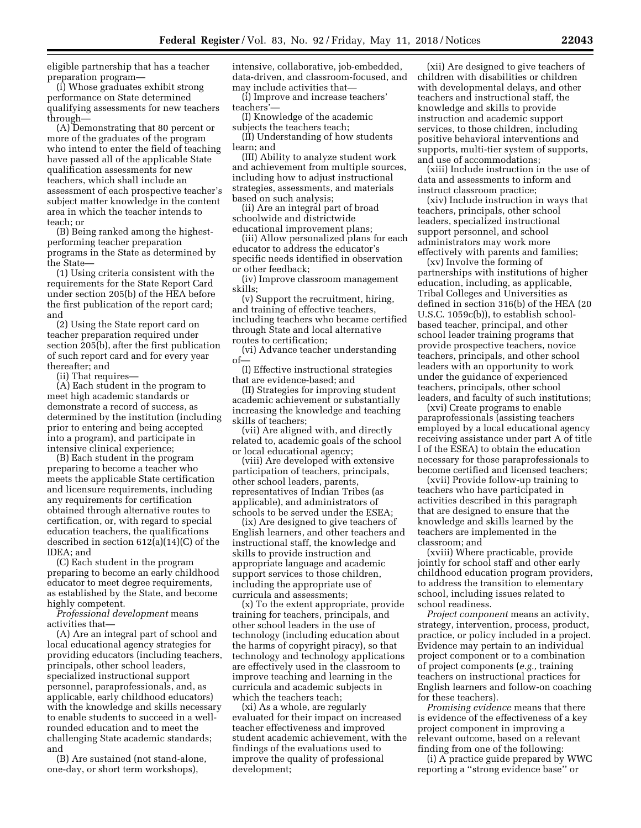eligible partnership that has a teacher preparation program—

(i) Whose graduates exhibit strong performance on State determined qualifying assessments for new teachers through—

(A) Demonstrating that 80 percent or more of the graduates of the program who intend to enter the field of teaching have passed all of the applicable State qualification assessments for new teachers, which shall include an assessment of each prospective teacher's subject matter knowledge in the content area in which the teacher intends to teach; or

(B) Being ranked among the highestperforming teacher preparation programs in the State as determined by the State—

(1) Using criteria consistent with the requirements for the State Report Card under section 205(b) of the HEA before the first publication of the report card; and

(2) Using the State report card on teacher preparation required under section 205(b), after the first publication of such report card and for every year thereafter; and

(ii) That requires—

(A) Each student in the program to meet high academic standards or demonstrate a record of success, as determined by the institution (including prior to entering and being accepted into a program), and participate in intensive clinical experience;

(B) Each student in the program preparing to become a teacher who meets the applicable State certification and licensure requirements, including any requirements for certification obtained through alternative routes to certification, or, with regard to special education teachers, the qualifications described in section 612(a)(14)(C) of the IDEA; and

(C) Each student in the program preparing to become an early childhood educator to meet degree requirements, as established by the State, and become highly competent.

*Professional development* means activities that—

(A) Are an integral part of school and local educational agency strategies for providing educators (including teachers, principals, other school leaders, specialized instructional support personnel, paraprofessionals, and, as applicable, early childhood educators) with the knowledge and skills necessary to enable students to succeed in a wellrounded education and to meet the challenging State academic standards; and

(B) Are sustained (not stand-alone, one-day, or short term workshops),

intensive, collaborative, job-embedded, data-driven, and classroom-focused, and may include activities that—

(i) Improve and increase teachers' teachers'

(I) Knowledge of the academic subjects the teachers teach;

(II) Understanding of how students learn; and

(III) Ability to analyze student work and achievement from multiple sources, including how to adjust instructional strategies, assessments, and materials based on such analysis;

(ii) Are an integral part of broad schoolwide and districtwide educational improvement plans;

(iii) Allow personalized plans for each educator to address the educator's specific needs identified in observation or other feedback;

(iv) Improve classroom management skills;

(v) Support the recruitment, hiring, and training of effective teachers, including teachers who became certified through State and local alternative routes to certification;

(vi) Advance teacher understanding of—

(I) Effective instructional strategies that are evidence-based; and

(II) Strategies for improving student academic achievement or substantially increasing the knowledge and teaching skills of teachers;

(vii) Are aligned with, and directly related to, academic goals of the school or local educational agency;

(viii) Are developed with extensive participation of teachers, principals, other school leaders, parents, representatives of Indian Tribes (as applicable), and administrators of schools to be served under the ESEA;

(ix) Are designed to give teachers of English learners, and other teachers and instructional staff, the knowledge and skills to provide instruction and appropriate language and academic support services to those children, including the appropriate use of curricula and assessments;

(x) To the extent appropriate, provide training for teachers, principals, and other school leaders in the use of technology (including education about the harms of copyright piracy), so that technology and technology applications are effectively used in the classroom to improve teaching and learning in the curricula and academic subjects in which the teachers teach;

(xi) As a whole, are regularly evaluated for their impact on increased teacher effectiveness and improved student academic achievement, with the findings of the evaluations used to improve the quality of professional development;

(xii) Are designed to give teachers of children with disabilities or children with developmental delays, and other teachers and instructional staff, the knowledge and skills to provide instruction and academic support services, to those children, including positive behavioral interventions and supports, multi-tier system of supports, and use of accommodations;

(xiii) Include instruction in the use of data and assessments to inform and instruct classroom practice;

(xiv) Include instruction in ways that teachers, principals, other school leaders, specialized instructional support personnel, and school administrators may work more effectively with parents and families;

(xv) Involve the forming of partnerships with institutions of higher education, including, as applicable, Tribal Colleges and Universities as defined in section 316(b) of the HEA (20 U.S.C. 1059c(b)), to establish schoolbased teacher, principal, and other school leader training programs that provide prospective teachers, novice teachers, principals, and other school leaders with an opportunity to work under the guidance of experienced teachers, principals, other school leaders, and faculty of such institutions;

(xvi) Create programs to enable paraprofessionals (assisting teachers employed by a local educational agency receiving assistance under part A of title I of the ESEA) to obtain the education necessary for those paraprofessionals to become certified and licensed teachers;

(xvii) Provide follow-up training to teachers who have participated in activities described in this paragraph that are designed to ensure that the knowledge and skills learned by the teachers are implemented in the classroom; and

(xviii) Where practicable, provide jointly for school staff and other early childhood education program providers, to address the transition to elementary school, including issues related to school readiness.

*Project component* means an activity, strategy, intervention, process, product, practice, or policy included in a project. Evidence may pertain to an individual project component or to a combination of project components (*e.g.,* training teachers on instructional practices for English learners and follow-on coaching for these teachers).

*Promising evidence* means that there is evidence of the effectiveness of a key project component in improving a relevant outcome, based on a relevant finding from one of the following:

(i) A practice guide prepared by WWC reporting a ''strong evidence base'' or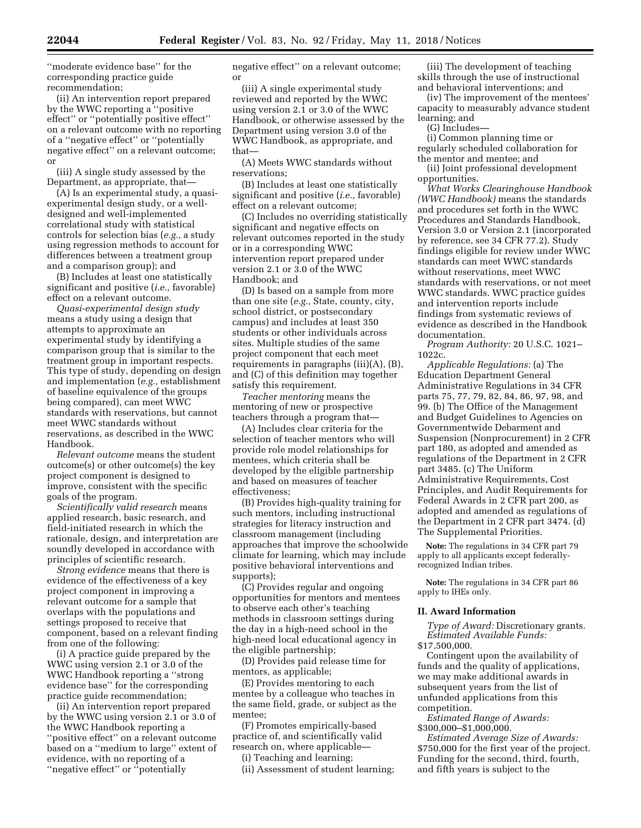''moderate evidence base'' for the corresponding practice guide recommendation;

(ii) An intervention report prepared by the WWC reporting a ''positive effect'' or ''potentially positive effect'' on a relevant outcome with no reporting of a ''negative effect'' or ''potentially negative effect'' on a relevant outcome; or

(iii) A single study assessed by the Department, as appropriate, that—

(A) Is an experimental study, a quasiexperimental design study, or a welldesigned and well-implemented correlational study with statistical controls for selection bias (*e.g.,* a study using regression methods to account for differences between a treatment group and a comparison group); and

(B) Includes at least one statistically significant and positive (*i.e.,* favorable) effect on a relevant outcome.

*Quasi-experimental design study*  means a study using a design that attempts to approximate an experimental study by identifying a comparison group that is similar to the treatment group in important respects. This type of study, depending on design and implementation (*e.g.,* establishment of baseline equivalence of the groups being compared), can meet WWC standards with reservations, but cannot meet WWC standards without reservations, as described in the WWC Handbook.

*Relevant outcome* means the student outcome(s) or other outcome(s) the key project component is designed to improve, consistent with the specific goals of the program.

*Scientifically valid research* means applied research, basic research, and field-initiated research in which the rationale, design, and interpretation are soundly developed in accordance with principles of scientific research.

*Strong evidence* means that there is evidence of the effectiveness of a key project component in improving a relevant outcome for a sample that overlaps with the populations and settings proposed to receive that component, based on a relevant finding from one of the following:

(i) A practice guide prepared by the WWC using version 2.1 or 3.0 of the WWC Handbook reporting a ''strong evidence base'' for the corresponding practice guide recommendation;

(ii) An intervention report prepared by the WWC using version 2.1 or 3.0 of the WWC Handbook reporting a ''positive effect'' on a relevant outcome based on a ''medium to large'' extent of evidence, with no reporting of a ''negative effect'' or ''potentially

negative effect'' on a relevant outcome; or

(iii) A single experimental study reviewed and reported by the WWC using version 2.1 or 3.0 of the WWC Handbook, or otherwise assessed by the Department using version 3.0 of the WWC Handbook, as appropriate, and that—

(A) Meets WWC standards without reservations;

(B) Includes at least one statistically significant and positive (*i.e.,* favorable) effect on a relevant outcome;

(C) Includes no overriding statistically significant and negative effects on relevant outcomes reported in the study or in a corresponding WWC intervention report prepared under version 2.1 or 3.0 of the WWC Handbook; and

(D) Is based on a sample from more than one site (*e.g.,* State, county, city, school district, or postsecondary campus) and includes at least 350 students or other individuals across sites. Multiple studies of the same project component that each meet requirements in paragraphs (iii)(A), (B), and (C) of this definition may together satisfy this requirement.

*Teacher mentoring* means the mentoring of new or prospective teachers through a program that—

(A) Includes clear criteria for the selection of teacher mentors who will provide role model relationships for mentees, which criteria shall be developed by the eligible partnership and based on measures of teacher effectiveness;

(B) Provides high-quality training for such mentors, including instructional strategies for literacy instruction and classroom management (including approaches that improve the schoolwide climate for learning, which may include positive behavioral interventions and supports);

(C) Provides regular and ongoing opportunities for mentors and mentees to observe each other's teaching methods in classroom settings during the day in a high-need school in the high-need local educational agency in the eligible partnership;

(D) Provides paid release time for mentors, as applicable;

(E) Provides mentoring to each mentee by a colleague who teaches in the same field, grade, or subject as the mentee;

(F) Promotes empirically-based practice of, and scientifically valid research on, where applicable—

(i) Teaching and learning;

(ii) Assessment of student learning;

(iii) The development of teaching skills through the use of instructional and behavioral interventions; and

(iv) The improvement of the mentees' capacity to measurably advance student learning; and

(G) Includes—

(i) Common planning time or regularly scheduled collaboration for the mentor and mentee; and

(ii) Joint professional development opportunities.

*What Works Clearinghouse Handbook (WWC Handbook)* means the standards and procedures set forth in the WWC Procedures and Standards Handbook, Version 3.0 or Version 2.1 (incorporated by reference, see 34 CFR 77.2). Study findings eligible for review under WWC standards can meet WWC standards without reservations, meet WWC standards with reservations, or not meet WWC standards. WWC practice guides and intervention reports include findings from systematic reviews of evidence as described in the Handbook documentation.

*Program Authority:* 20 U.S.C. 1021– 1022c.

*Applicable Regulations:* (a) The Education Department General Administrative Regulations in 34 CFR parts 75, 77, 79, 82, 84, 86, 97, 98, and 99. (b) The Office of the Management and Budget Guidelines to Agencies on Governmentwide Debarment and Suspension (Nonprocurement) in 2 CFR part 180, as adopted and amended as regulations of the Department in 2 CFR part 3485. (c) The Uniform Administrative Requirements, Cost Principles, and Audit Requirements for Federal Awards in 2 CFR part 200, as adopted and amended as regulations of the Department in 2 CFR part 3474. (d) The Supplemental Priorities.

**Note:** The regulations in 34 CFR part 79 apply to all applicants except federallyrecognized Indian tribes.

**Note:** The regulations in 34 CFR part 86 apply to IHEs only.

#### **II. Award Information**

*Type of Award:* Discretionary grants. *Estimated Available Funds:*  \$17,500,000.

Contingent upon the availability of funds and the quality of applications, we may make additional awards in subsequent years from the list of unfunded applications from this competition.

*Estimated Range of Awards:*  \$300,000–\$1,000,000.

*Estimated Average Size of Awards:*  \$750,000 for the first year of the project. Funding for the second, third, fourth, and fifth years is subject to the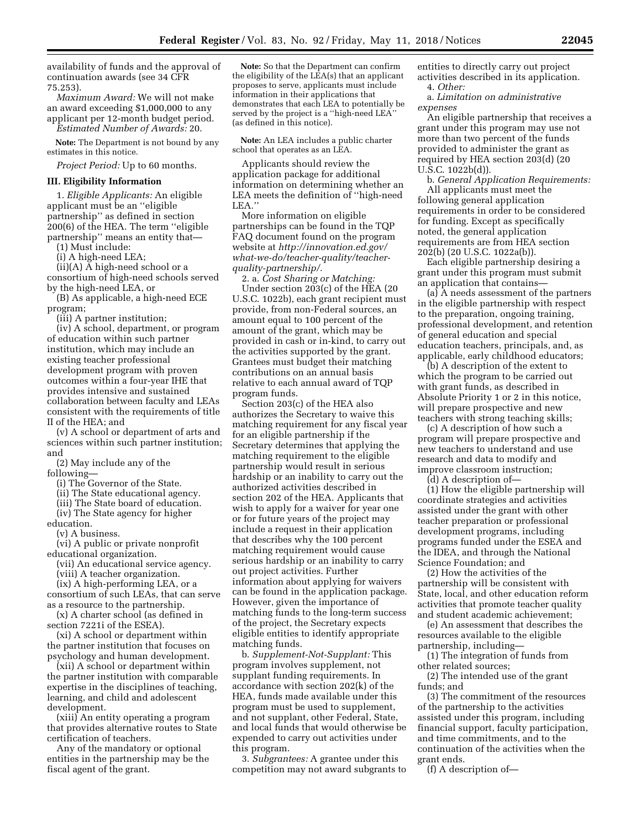availability of funds and the approval of continuation awards (see 34 CFR 75.253).

*Maximum Award:* We will not make an award exceeding \$1,000,000 to any applicant per 12-month budget period.

*Estimated Number of Awards:* 20.

**Note:** The Department is not bound by any estimates in this notice.

*Project Period:* Up to 60 months.

#### **III. Eligibility Information**

1. *Eligible Applicants:* An eligible applicant must be an ''eligible partnership'' as defined in section 200(6) of the HEA. The term ''eligible partnership'' means an entity that—

(1) Must include:

(i) A high-need LEA;

(ii)(A) A high-need school or a consortium of high-need schools served by the high-need LEA, or

(B) As applicable, a high-need ECE program;

(iii) A partner institution;

(iv) A school, department, or program of education within such partner institution, which may include an existing teacher professional development program with proven outcomes within a four-year IHE that provides intensive and sustained collaboration between faculty and LEAs consistent with the requirements of title II of the HEA; and

(v) A school or department of arts and sciences within such partner institution; and

(2) May include any of the following—

(i) The Governor of the State.

(ii) The State educational agency.

(iii) The State board of education.

(iv) The State agency for higher

education.

(v) A business.

(vi) A public or private nonprofit educational organization.

(vii) An educational service agency.

(viii) A teacher organization.

(ix) A high-performing LEA, or a consortium of such LEAs, that can serve as a resource to the partnership.

(x) A charter school (as defined in section 7221i of the ESEA).

(xi) A school or department within the partner institution that focuses on psychology and human development.

(xii) A school or department within the partner institution with comparable expertise in the disciplines of teaching, learning, and child and adolescent development.

(xiii) An entity operating a program that provides alternative routes to State certification of teachers.

Any of the mandatory or optional entities in the partnership may be the fiscal agent of the grant.

**Note:** So that the Department can confirm the eligibility of the LEA(s) that an applicant proposes to serve, applicants must include information in their applications that demonstrates that each LEA to potentially be served by the project is a ''high-need LEA'' (as defined in this notice).

**Note:** An LEA includes a public charter school that operates as an LEA.

Applicants should review the application package for additional information on determining whether an LEA meets the definition of ''high-need  $LEA$ .

More information on eligible partnerships can be found in the TQP FAQ document found on the program website at *[http://innovation.ed.gov/](http://innovation.ed.gov/what-we-do/teacher-quality/teacher-quality-partnership/)  [what-we-do/teacher-quality/teacher](http://innovation.ed.gov/what-we-do/teacher-quality/teacher-quality-partnership/)[quality-partnership/.](http://innovation.ed.gov/what-we-do/teacher-quality/teacher-quality-partnership/)* 

2. a. *Cost Sharing or Matching:*  Under section 203(c) of the HEA (20 U.S.C. 1022b), each grant recipient must provide, from non-Federal sources, an amount equal to 100 percent of the amount of the grant, which may be provided in cash or in-kind, to carry out the activities supported by the grant. Grantees must budget their matching contributions on an annual basis relative to each annual award of TQP program funds.

Section 203(c) of the HEA also authorizes the Secretary to waive this matching requirement for any fiscal year for an eligible partnership if the Secretary determines that applying the matching requirement to the eligible partnership would result in serious hardship or an inability to carry out the authorized activities described in section 202 of the HEA. Applicants that wish to apply for a waiver for year one or for future years of the project may include a request in their application that describes why the 100 percent matching requirement would cause serious hardship or an inability to carry out project activities. Further information about applying for waivers can be found in the application package. However, given the importance of matching funds to the long-term success of the project, the Secretary expects eligible entities to identify appropriate matching funds.

b. *Supplement-Not-Supplant:* This program involves supplement, not supplant funding requirements. In accordance with section 202(k) of the HEA, funds made available under this program must be used to supplement, and not supplant, other Federal, State, and local funds that would otherwise be expended to carry out activities under this program.

3. *Subgrantees:* A grantee under this competition may not award subgrants to

entities to directly carry out project activities described in its application. 4. *Other:* 

a. *Limitation on administrative expenses* 

An eligible partnership that receives a grant under this program may use not more than two percent of the funds provided to administer the grant as required by HEA section 203(d) (20 U.S.C. 1022b(d)).

b. *General Application Requirements:*  All applicants must meet the following general application requirements in order to be considered for funding. Except as specifically noted, the general application requirements are from HEA section 202(b) (20 U.S.C. 1022a(b)).

Each eligible partnership desiring a grant under this program must submit an application that contains—

(a) A needs assessment of the partners in the eligible partnership with respect to the preparation, ongoing training, professional development, and retention of general education and special education teachers, principals, and, as applicable, early childhood educators;

(b) A description of the extent to which the program to be carried out with grant funds, as described in Absolute Priority 1 or 2 in this notice, will prepare prospective and new teachers with strong teaching skills;

(c) A description of how such a program will prepare prospective and new teachers to understand and use research and data to modify and improve classroom instruction;

(d) A description of—

(1) How the eligible partnership will coordinate strategies and activities assisted under the grant with other teacher preparation or professional development programs, including programs funded under the ESEA and the IDEA, and through the National Science Foundation; and

(2) How the activities of the partnership will be consistent with State, local, and other education reform activities that promote teacher quality and student academic achievement;

(e) An assessment that describes the resources available to the eligible partnership, including—

(1) The integration of funds from other related sources;

(2) The intended use of the grant funds; and

(3) The commitment of the resources of the partnership to the activities assisted under this program, including financial support, faculty participation, and time commitments, and to the continuation of the activities when the grant ends.

(f) A description of—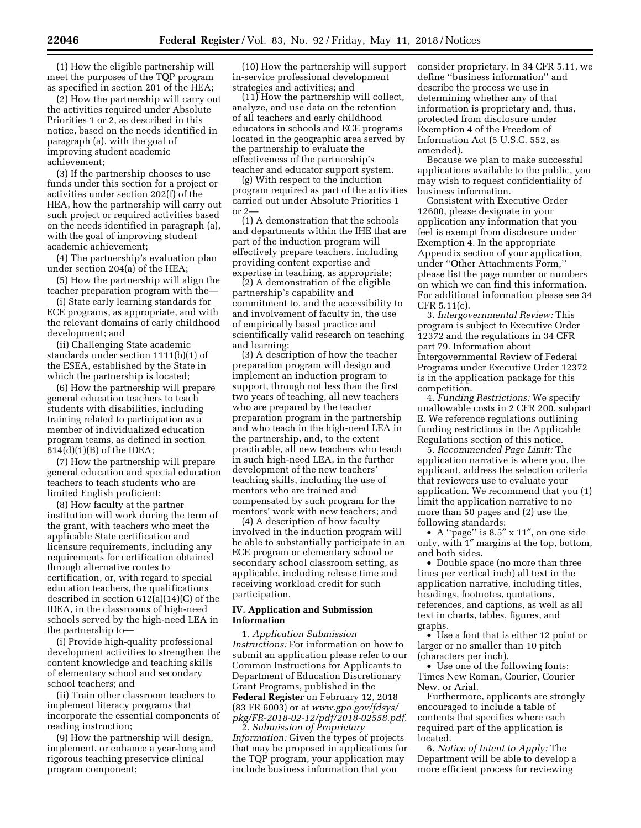(1) How the eligible partnership will meet the purposes of the TQP program as specified in section 201 of the HEA;

(2) How the partnership will carry out the activities required under Absolute Priorities 1 or 2, as described in this notice, based on the needs identified in paragraph (a), with the goal of improving student academic achievement;

(3) If the partnership chooses to use funds under this section for a project or activities under section 202(f) of the HEA, how the partnership will carry out such project or required activities based on the needs identified in paragraph (a), with the goal of improving student academic achievement;

(4) The partnership's evaluation plan under section 204(a) of the HEA;

(5) How the partnership will align the teacher preparation program with the—

(i) State early learning standards for ECE programs, as appropriate, and with the relevant domains of early childhood development; and

(ii) Challenging State academic standards under section 1111(b)(1) of the ESEA, established by the State in which the partnership is located;

(6) How the partnership will prepare general education teachers to teach students with disabilities, including training related to participation as a member of individualized education program teams, as defined in section  $614(d)(1)(B)$  of the IDEA;

(7) How the partnership will prepare general education and special education teachers to teach students who are limited English proficient;

(8) How faculty at the partner institution will work during the term of the grant, with teachers who meet the applicable State certification and licensure requirements, including any requirements for certification obtained through alternative routes to certification, or, with regard to special education teachers, the qualifications described in section 612(a)(14)(C) of the IDEA, in the classrooms of high-need schools served by the high-need LEA in the partnership to—

(i) Provide high-quality professional development activities to strengthen the content knowledge and teaching skills of elementary school and secondary school teachers; and

(ii) Train other classroom teachers to implement literacy programs that incorporate the essential components of reading instruction;

(9) How the partnership will design, implement, or enhance a year-long and rigorous teaching preservice clinical program component;

(10) How the partnership will support in-service professional development strategies and activities; and

(11) How the partnership will collect, analyze, and use data on the retention of all teachers and early childhood educators in schools and ECE programs located in the geographic area served by the partnership to evaluate the effectiveness of the partnership's teacher and educator support system.

(g) With respect to the induction program required as part of the activities carried out under Absolute Priorities 1 or 2—

(1) A demonstration that the schools and departments within the IHE that are part of the induction program will effectively prepare teachers, including providing content expertise and expertise in teaching, as appropriate;

(2) A demonstration of the eligible partnership's capability and commitment to, and the accessibility to and involvement of faculty in, the use of empirically based practice and scientifically valid research on teaching and learning;

(3) A description of how the teacher preparation program will design and implement an induction program to support, through not less than the first two years of teaching, all new teachers who are prepared by the teacher preparation program in the partnership and who teach in the high-need LEA in the partnership, and, to the extent practicable, all new teachers who teach in such high-need LEA, in the further development of the new teachers' teaching skills, including the use of mentors who are trained and compensated by such program for the mentors' work with new teachers; and

(4) A description of how faculty involved in the induction program will be able to substantially participate in an ECE program or elementary school or secondary school classroom setting, as applicable, including release time and receiving workload credit for such participation.

# **IV. Application and Submission Information**

1. *Application Submission Instructions:* For information on how to submit an application please refer to our Common Instructions for Applicants to Department of Education Discretionary Grant Programs, published in the **Federal Register** on February 12, 2018 (83 FR 6003) or at *[www.gpo.gov/fdsys/](http://www.gpo.gov/fdsys/pkg/FR-2018-02-12/pdf/2018-02558.pdf)  [pkg/FR-2018-02-12/pdf/2018-02558.pdf.](http://www.gpo.gov/fdsys/pkg/FR-2018-02-12/pdf/2018-02558.pdf)* 

2. *Submission of Proprietary Information:* Given the types of projects that may be proposed in applications for the TQP program, your application may include business information that you

consider proprietary. In 34 CFR 5.11, we define ''business information'' and describe the process we use in determining whether any of that information is proprietary and, thus, protected from disclosure under Exemption 4 of the Freedom of Information Act (5 U.S.C. 552, as amended).

Because we plan to make successful applications available to the public, you may wish to request confidentiality of business information.

Consistent with Executive Order 12600, please designate in your application any information that you feel is exempt from disclosure under Exemption 4. In the appropriate Appendix section of your application, under ''Other Attachments Form,'' please list the page number or numbers on which we can find this information. For additional information please see 34 CFR 5.11(c).

3. *Intergovernmental Review:* This program is subject to Executive Order 12372 and the regulations in 34 CFR part 79. Information about Intergovernmental Review of Federal Programs under Executive Order 12372 is in the application package for this competition.

4. *Funding Restrictions:* We specify unallowable costs in 2 CFR 200, subpart E. We reference regulations outlining funding restrictions in the Applicable Regulations section of this notice.

5. *Recommended Page Limit:* The application narrative is where you, the applicant, address the selection criteria that reviewers use to evaluate your application. We recommend that you (1) limit the application narrative to no more than 50 pages and (2) use the following standards:

• A ''page'' is 8.5″ x 11″, on one side only, with 1″ margins at the top, bottom, and both sides.

• Double space (no more than three lines per vertical inch) all text in the application narrative, including titles, headings, footnotes, quotations, references, and captions, as well as all text in charts, tables, figures, and graphs.

• Use a font that is either 12 point or larger or no smaller than 10 pitch (characters per inch).

• Use one of the following fonts: Times New Roman, Courier, Courier New, or Arial.

Furthermore, applicants are strongly encouraged to include a table of contents that specifies where each required part of the application is located.

6. *Notice of Intent to Apply:* The Department will be able to develop a more efficient process for reviewing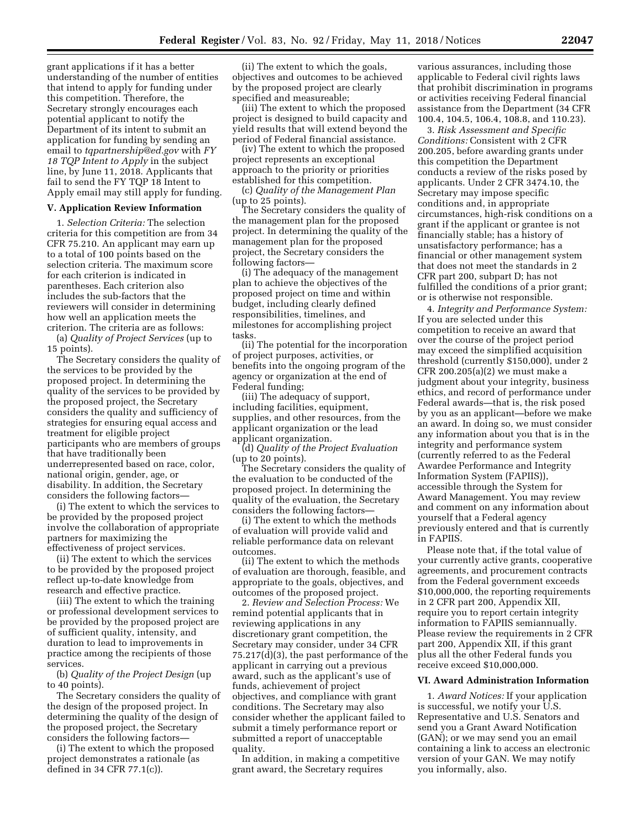grant applications if it has a better understanding of the number of entities that intend to apply for funding under this competition. Therefore, the Secretary strongly encourages each potential applicant to notify the Department of its intent to submit an application for funding by sending an email to *[tqpartnership@ed.gov](mailto:tqpartnership@ed.gov)* with *FY 18 TQP Intent to Apply* in the subject line, by June 11, 2018. Applicants that fail to send the FY TQP 18 Intent to Apply email may still apply for funding.

### **V. Application Review Information**

1. *Selection Criteria:* The selection criteria for this competition are from 34 CFR 75.210. An applicant may earn up to a total of 100 points based on the selection criteria. The maximum score for each criterion is indicated in parentheses. Each criterion also includes the sub-factors that the reviewers will consider in determining how well an application meets the criterion. The criteria are as follows:

(a) *Quality of Project Services* (up to 15 points).

The Secretary considers the quality of the services to be provided by the proposed project. In determining the quality of the services to be provided by the proposed project, the Secretary considers the quality and sufficiency of strategies for ensuring equal access and treatment for eligible project participants who are members of groups that have traditionally been underrepresented based on race, color, national origin, gender, age, or disability. In addition, the Secretary considers the following factors—

(i) The extent to which the services to be provided by the proposed project involve the collaboration of appropriate partners for maximizing the effectiveness of project services.

(ii) The extent to which the services to be provided by the proposed project reflect up-to-date knowledge from research and effective practice.

(iii) The extent to which the training or professional development services to be provided by the proposed project are of sufficient quality, intensity, and duration to lead to improvements in practice among the recipients of those services.

(b) *Quality of the Project Design* (up to 40 points).

The Secretary considers the quality of the design of the proposed project. In determining the quality of the design of the proposed project, the Secretary considers the following factors—

(i) The extent to which the proposed project demonstrates a rationale (as defined in 34 CFR 77.1(c)).

(ii) The extent to which the goals, objectives and outcomes to be achieved by the proposed project are clearly specified and measureable;

(iii) The extent to which the proposed project is designed to build capacity and yield results that will extend beyond the period of Federal financial assistance.

(iv) The extent to which the proposed project represents an exceptional approach to the priority or priorities established for this competition.

(c) *Quality of the Management Plan*  (up to 25 points).

The Secretary considers the quality of the management plan for the proposed project. In determining the quality of the management plan for the proposed project, the Secretary considers the following factors—

(i) The adequacy of the management plan to achieve the objectives of the proposed project on time and within budget, including clearly defined responsibilities, timelines, and milestones for accomplishing project tasks.

(ii) The potential for the incorporation of project purposes, activities, or benefits into the ongoing program of the agency or organization at the end of Federal funding;

(iii) The adequacy of support, including facilities, equipment, supplies, and other resources, from the applicant organization or the lead applicant organization.

(d) *Quality of the Project Evaluation*  (up to 20 points).

The Secretary considers the quality of the evaluation to be conducted of the proposed project. In determining the quality of the evaluation, the Secretary considers the following factors—

(i) The extent to which the methods of evaluation will provide valid and reliable performance data on relevant outcomes.

(ii) The extent to which the methods of evaluation are thorough, feasible, and appropriate to the goals, objectives, and outcomes of the proposed project.

2. *Review and Selection Process:* We remind potential applicants that in reviewing applications in any discretionary grant competition, the Secretary may consider, under 34 CFR 75.217(d)(3), the past performance of the applicant in carrying out a previous award, such as the applicant's use of funds, achievement of project objectives, and compliance with grant conditions. The Secretary may also consider whether the applicant failed to submit a timely performance report or submitted a report of unacceptable quality.

In addition, in making a competitive grant award, the Secretary requires

various assurances, including those applicable to Federal civil rights laws that prohibit discrimination in programs or activities receiving Federal financial assistance from the Department (34 CFR 100.4, 104.5, 106.4, 108.8, and 110.23).

3. *Risk Assessment and Specific Conditions:* Consistent with 2 CFR 200.205, before awarding grants under this competition the Department conducts a review of the risks posed by applicants. Under 2 CFR 3474.10, the Secretary may impose specific conditions and, in appropriate circumstances, high-risk conditions on a grant if the applicant or grantee is not financially stable; has a history of unsatisfactory performance; has a financial or other management system that does not meet the standards in 2 CFR part 200, subpart D; has not fulfilled the conditions of a prior grant; or is otherwise not responsible.

4. *Integrity and Performance System:*  If you are selected under this competition to receive an award that over the course of the project period may exceed the simplified acquisition threshold (currently \$150,000), under 2 CFR 200.205(a)(2) we must make a judgment about your integrity, business ethics, and record of performance under Federal awards—that is, the risk posed by you as an applicant—before we make an award. In doing so, we must consider any information about you that is in the integrity and performance system (currently referred to as the Federal Awardee Performance and Integrity Information System (FAPIIS)), accessible through the System for Award Management. You may review and comment on any information about yourself that a Federal agency previously entered and that is currently in FAPIIS.

Please note that, if the total value of your currently active grants, cooperative agreements, and procurement contracts from the Federal government exceeds \$10,000,000, the reporting requirements in 2 CFR part 200, Appendix XII, require you to report certain integrity information to FAPIIS semiannually. Please review the requirements in 2 CFR part 200, Appendix XII, if this grant plus all the other Federal funds you receive exceed \$10,000,000.

#### **VI. Award Administration Information**

1. *Award Notices:* If your application is successful, we notify your U.S. Representative and U.S. Senators and send you a Grant Award Notification (GAN); or we may send you an email containing a link to access an electronic version of your GAN. We may notify you informally, also.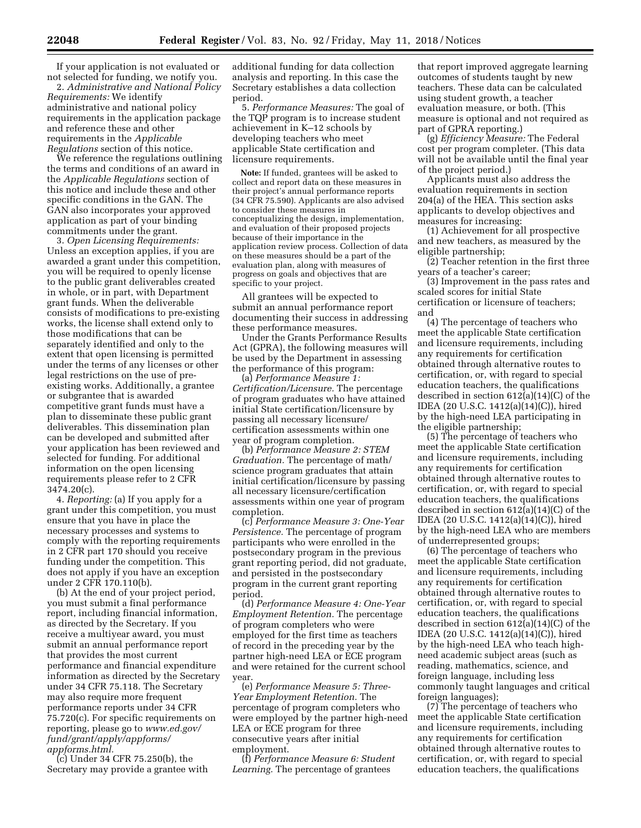If your application is not evaluated or not selected for funding, we notify you.

2. *Administrative and National Policy Requirements:* We identify administrative and national policy requirements in the application package and reference these and other requirements in the *Applicable Regulations* section of this notice.

We reference the regulations outlining the terms and conditions of an award in the *Applicable Regulations* section of this notice and include these and other specific conditions in the GAN. The GAN also incorporates your approved application as part of your binding commitments under the grant.

3. *Open Licensing Requirements:*  Unless an exception applies, if you are awarded a grant under this competition, you will be required to openly license to the public grant deliverables created in whole, or in part, with Department grant funds. When the deliverable consists of modifications to pre-existing works, the license shall extend only to those modifications that can be separately identified and only to the extent that open licensing is permitted under the terms of any licenses or other legal restrictions on the use of preexisting works. Additionally, a grantee or subgrantee that is awarded competitive grant funds must have a plan to disseminate these public grant deliverables. This dissemination plan can be developed and submitted after your application has been reviewed and selected for funding. For additional information on the open licensing requirements please refer to 2 CFR 3474.20(c).

4. *Reporting:* (a) If you apply for a grant under this competition, you must ensure that you have in place the necessary processes and systems to comply with the reporting requirements in 2 CFR part 170 should you receive funding under the competition. This does not apply if you have an exception under 2 CFR 170.110(b).

(b) At the end of your project period, you must submit a final performance report, including financial information, as directed by the Secretary. If you receive a multiyear award, you must submit an annual performance report that provides the most current performance and financial expenditure information as directed by the Secretary under 34 CFR 75.118. The Secretary may also require more frequent performance reports under 34 CFR 75.720(c). For specific requirements on reporting, please go to *[www.ed.gov/](http://www.ed.gov/fund/grant/apply/appforms/appforms.html) [fund/grant/apply/appforms/](http://www.ed.gov/fund/grant/apply/appforms/appforms.html) [appforms.html.](http://www.ed.gov/fund/grant/apply/appforms/appforms.html)* 

(c) Under 34 CFR 75.250(b), the Secretary may provide a grantee with

additional funding for data collection analysis and reporting. In this case the Secretary establishes a data collection period.

5. *Performance Measures:* The goal of the TQP program is to increase student achievement in K–12 schools by developing teachers who meet applicable State certification and licensure requirements.

**Note:** If funded, grantees will be asked to collect and report data on these measures in their project's annual performance reports (34 CFR 75.590). Applicants are also advised to consider these measures in conceptualizing the design, implementation, and evaluation of their proposed projects because of their importance in the application review process. Collection of data on these measures should be a part of the evaluation plan, along with measures of progress on goals and objectives that are specific to your project.

All grantees will be expected to submit an annual performance report documenting their success in addressing these performance measures.

Under the Grants Performance Results Act (GPRA), the following measures will be used by the Department in assessing the performance of this program:

(a) *Performance Measure 1: Certification/Licensure.* The percentage of program graduates who have attained initial State certification/licensure by passing all necessary licensure/ certification assessments within one year of program completion.

(b) *Performance Measure 2: STEM Graduation.* The percentage of math/ science program graduates that attain initial certification/licensure by passing all necessary licensure/certification assessments within one year of program completion.

(c) *Performance Measure 3: One-Year Persistence.* The percentage of program participants who were enrolled in the postsecondary program in the previous grant reporting period, did not graduate, and persisted in the postsecondary program in the current grant reporting period.

(d) *Performance Measure 4: One-Year Employment Retention.* The percentage of program completers who were employed for the first time as teachers of record in the preceding year by the partner high-need LEA or ECE program and were retained for the current school year.

(e) *Performance Measure 5: Three-Year Employment Retention.* The percentage of program completers who were employed by the partner high-need LEA or ECE program for three consecutive years after initial employment.

(f) *Performance Measure 6: Student Learning.* The percentage of grantees

that report improved aggregate learning outcomes of students taught by new teachers. These data can be calculated using student growth, a teacher evaluation measure, or both. (This measure is optional and not required as part of GPRA reporting.)

(g) *Efficiency Measure:* The Federal cost per program completer. (This data will not be available until the final year of the project period.)

Applicants must also address the evaluation requirements in section 204(a) of the HEA. This section asks applicants to develop objectives and measures for increasing:

(1) Achievement for all prospective and new teachers, as measured by the eligible partnership;

(2) Teacher retention in the first three years of a teacher's career;

(3) Improvement in the pass rates and scaled scores for initial State certification or licensure of teachers; and

(4) The percentage of teachers who meet the applicable State certification and licensure requirements, including any requirements for certification obtained through alternative routes to certification, or, with regard to special education teachers, the qualifications described in section 612(a)(14)(C) of the IDEA (20 U.S.C. 1412(a)(14)(C)), hired by the high-need LEA participating in the eligible partnership;

(5) The percentage of teachers who meet the applicable State certification and licensure requirements, including any requirements for certification obtained through alternative routes to certification, or, with regard to special education teachers, the qualifications described in section 612(a)(14)(C) of the IDEA (20 U.S.C. 1412(a)(14)(C)), hired by the high-need LEA who are members of underrepresented groups;

(6) The percentage of teachers who meet the applicable State certification and licensure requirements, including any requirements for certification obtained through alternative routes to certification, or, with regard to special education teachers, the qualifications described in section 612(a)(14)(C) of the IDEA (20 U.S.C. 1412(a)(14)(C)), hired by the high-need LEA who teach highneed academic subject areas (such as reading, mathematics, science, and foreign language, including less commonly taught languages and critical foreign languages);

(7) The percentage of teachers who meet the applicable State certification and licensure requirements, including any requirements for certification obtained through alternative routes to certification, or, with regard to special education teachers, the qualifications